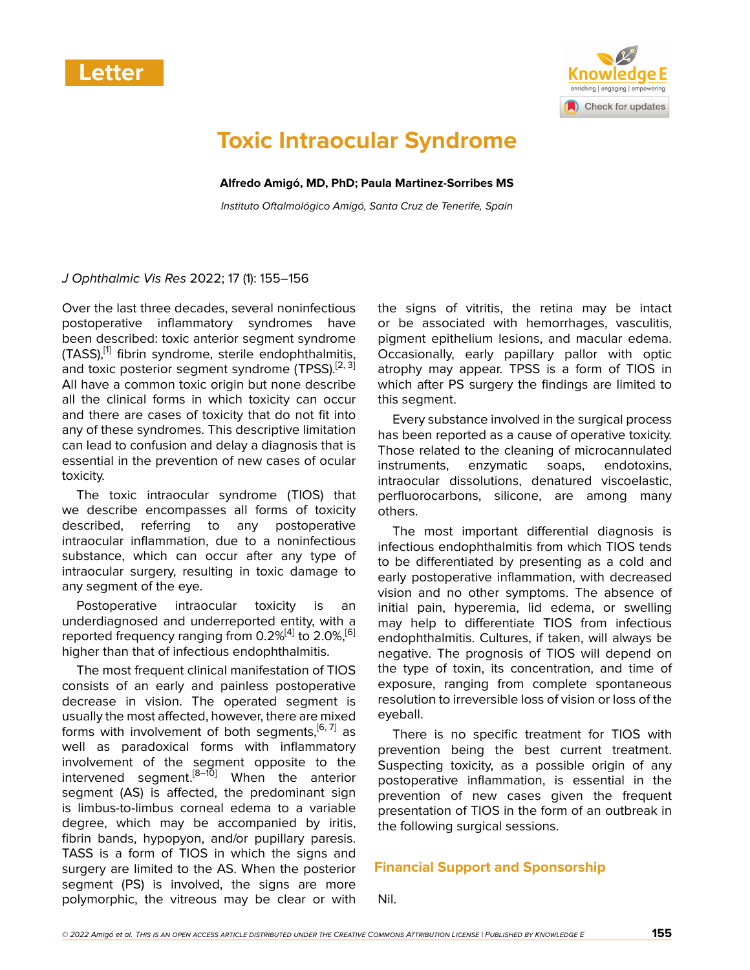



# **Toxic Intraocular Syndrome**

**Alfredo Amigó, MD, PhD; Paula Martinez-Sorribes MS**

*Instituto Oftalmológico Amigó, Santa Cruz de Tenerife, Spain*

### *J Ophthalmic Vis Res* 2022; 17 (1): 155–156

Over the last three decades, several noninfectious postoperative inflammatory syndromes have been described: toxic anterior segment syndrome (TASS),<sup>[\[1\]](#page-1-0)</sup> fibrin syndrome, sterile endophthalmitis, and toxic posterior segment syndrome (TPSS).<sup>[[2](#page-1-1), [3](#page-1-2)]</sup> All have a common toxic origin but none describe all the clinical forms in which toxicity can occur and there are cases of toxicity that do not fit into any of these syndromes. This descriptive limitation can lead to confusion and delay a diagnosis that is essential in the prevention of new cases of ocular toxicity.

The toxic intraocular syndrome (TIOS) that we describe encompasses all forms of toxicity described, referring to any postoperative intraocular inflammation, due to a noninfectious substance, which can occur after any type of intraocular surgery, resulting in toxic damage to any segment of the eye.

Postoperative intraocular toxicity is an underdiagnosed and underreported entity, with a reported frequency ranging from 0.2%<sup>[\[4\]](#page-1-3)</sup> to 2.0%,<sup>[[6](#page-1-4)]</sup> higher than that of infectious endophthalmitis.

The most frequent clinical manifestation of TIOS consists of an early and painless postoperative decrease in vision. The operated segment is usually the most affected, however, there are mixed forms with involvement of both segments, [[6](#page-1-4),[7\]](#page-1-5) as well as paradoxical forms with inflammatory involvement of the segment opposite to the intervened segment.[\[8–](#page-1-6)[10](#page-1-7)] When the anterior segment (AS) is affected, the predominant sign is limbus-to-limbus corneal edema to a variable degree, which may be accompanied by iritis, fibrin bands, hypopyon, and/or pupillary paresis. TASS is a form of TIOS in which the signs and surgery are limited to the AS. When the posterior segment (PS) is involved, the signs are more polymorphic, the vitreous may be clear or with

the signs of vitritis, the retina may be intact or be associated with hemorrhages, vasculitis, pigment epithelium lesions, and macular edema. Occasionally, early papillary pallor with optic atrophy may appear. TPSS is a form of TIOS in which after PS surgery the findings are limited to this segment.

Every substance involved in the surgical process has been reported as a cause of operative toxicity. Those related to the cleaning of microcannulated instruments, enzymatic soaps, endotoxins, intraocular dissolutions, denatured viscoelastic, perfluorocarbons, silicone, are among many others.

The most important differential diagnosis is infectious endophthalmitis from which TIOS tends to be differentiated by presenting as a cold and early postoperative inflammation, with decreased vision and no other symptoms. The absence of initial pain, hyperemia, lid edema, or swelling may help to differentiate TIOS from infectious endophthalmitis. Cultures, if taken, will always be negative. The prognosis of TIOS will depend on the type of toxin, its concentration, and time of exposure, ranging from complete spontaneous resolution to irreversible loss of vision or loss of the eyeball.

There is no specific treatment for TIOS with prevention being the best current treatment. Suspecting toxicity, as a possible origin of any postoperative inflammation, is essential in the prevention of new cases given the frequent presentation of TIOS in the form of an outbreak in the following surgical sessions.

## **Financial Support and Sponsorship**

Nil.